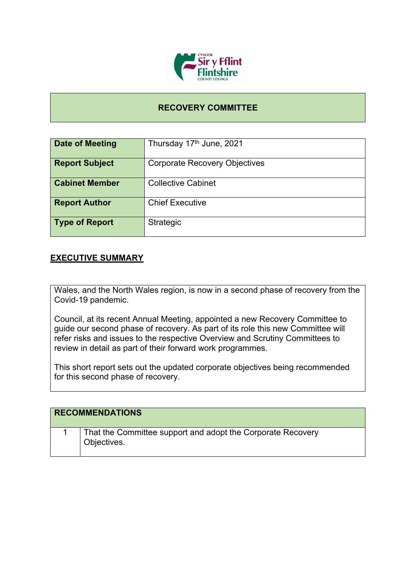

## **RECOVERY COMMITTEE**

| Date of Meeting       | Thursday 17 <sup>th</sup> June, 2021 |
|-----------------------|--------------------------------------|
| <b>Report Subject</b> | <b>Corporate Recovery Objectives</b> |
| <b>Cabinet Member</b> | <b>Collective Cabinet</b>            |
| <b>Report Author</b>  | <b>Chief Executive</b>               |
| <b>Type of Report</b> | Strategic                            |

## **EXECUTIVE SUMMARY**

Wales, and the North Wales region, is now in a second phase of recovery from the Covid-19 pandemic.

Council, at its recent Annual Meeting, appointed a new Recovery Committee to guide our second phase of recovery. As part of its role this new Committee will refer risks and issues to the respective Overview and Scrutiny Committees to review in detail as part of their forward work programmes.

This short report sets out the updated corporate objectives being recommended for this second phase of recovery.

| <b>RECOMMENDATIONS</b>                                                     |
|----------------------------------------------------------------------------|
| That the Committee support and adopt the Corporate Recovery<br>Objectives. |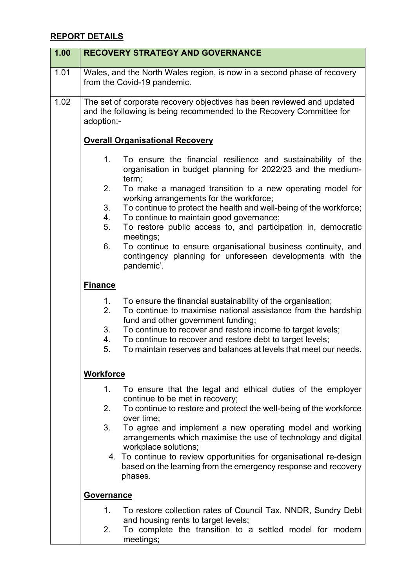## **REPORT DETAILS**

| 1.00 | <b>RECOVERY STRATEGY AND GOVERNANCE</b>                                                                                                                                                                                                                                                                                                                                                                      |
|------|--------------------------------------------------------------------------------------------------------------------------------------------------------------------------------------------------------------------------------------------------------------------------------------------------------------------------------------------------------------------------------------------------------------|
| 1.01 | Wales, and the North Wales region, is now in a second phase of recovery<br>from the Covid-19 pandemic.                                                                                                                                                                                                                                                                                                       |
| 1.02 | The set of corporate recovery objectives has been reviewed and updated<br>and the following is being recommended to the Recovery Committee for<br>adoption:-                                                                                                                                                                                                                                                 |
|      | <b>Overall Organisational Recovery</b>                                                                                                                                                                                                                                                                                                                                                                       |
|      | 1.<br>To ensure the financial resilience and sustainability of the<br>organisation in budget planning for 2022/23 and the medium-<br>term;                                                                                                                                                                                                                                                                   |
|      | 2.<br>To make a managed transition to a new operating model for<br>working arrangements for the workforce;                                                                                                                                                                                                                                                                                                   |
|      | To continue to protect the health and well-being of the workforce;<br>3.<br>To continue to maintain good governance;<br>4.<br>5.<br>To restore public access to, and participation in, democratic                                                                                                                                                                                                            |
|      | meetings;<br>6.<br>To continue to ensure organisational business continuity, and<br>contingency planning for unforeseen developments with the<br>pandemic'.                                                                                                                                                                                                                                                  |
|      | <b>Finance</b>                                                                                                                                                                                                                                                                                                                                                                                               |
|      | 1.<br>To ensure the financial sustainability of the organisation;<br>2.<br>To continue to maximise national assistance from the hardship<br>fund and other government funding;<br>3 <sub>1</sub><br>To continue to recover and restore income to target levels;<br>To continue to recover and restore debt to target levels;<br>4.<br>To maintain reserves and balances at levels that meet our needs.<br>5. |
|      | <b>Workforce</b>                                                                                                                                                                                                                                                                                                                                                                                             |
|      | 1.<br>To ensure that the legal and ethical duties of the employer<br>continue to be met in recovery;<br>To continue to restore and protect the well-being of the workforce<br>2.<br>over time;<br>3.<br>To agree and implement a new operating model and working                                                                                                                                             |
|      | arrangements which maximise the use of technology and digital<br>workplace solutions;<br>4. To continue to review opportunities for organisational re-design<br>based on the learning from the emergency response and recovery<br>phases.                                                                                                                                                                    |
|      | <b>Governance</b>                                                                                                                                                                                                                                                                                                                                                                                            |
|      | 1.<br>To restore collection rates of Council Tax, NNDR, Sundry Debt<br>and housing rents to target levels;<br>To complete the transition to a settled model for modern<br>2.<br>meetings;                                                                                                                                                                                                                    |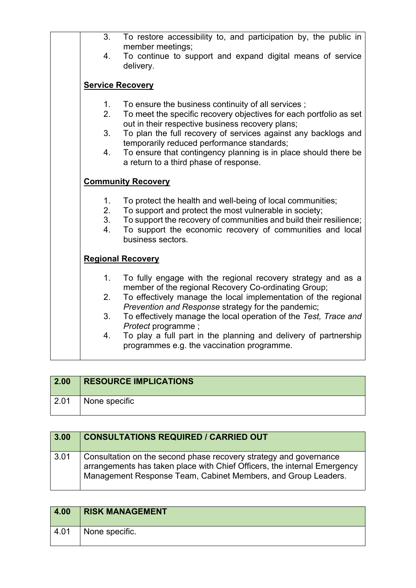| 3.                            | To restore accessibility to, and participation by, the public in<br>member meetings;                                                                                                                                                                                         |
|-------------------------------|------------------------------------------------------------------------------------------------------------------------------------------------------------------------------------------------------------------------------------------------------------------------------|
| 4.                            | To continue to support and expand digital means of service<br>delivery.                                                                                                                                                                                                      |
|                               | <b>Service Recovery</b>                                                                                                                                                                                                                                                      |
| $1_{-}$<br>2.                 | To ensure the business continuity of all services;<br>To meet the specific recovery objectives for each portfolio as set<br>out in their respective business recovery plans;                                                                                                 |
| 3.<br>4.                      | To plan the full recovery of services against any backlogs and<br>temporarily reduced performance standards;<br>To ensure that contingency planning is in place should there be                                                                                              |
|                               | a return to a third phase of response.<br><b>Community Recovery</b>                                                                                                                                                                                                          |
| $1_{\cdot}$<br>2.<br>3.<br>4. | To protect the health and well-being of local communities;<br>To support and protect the most vulnerable in society;<br>To support the recovery of communities and build their resilience;<br>To support the economic recovery of communities and local<br>business sectors. |
|                               | <b>Regional Recovery</b>                                                                                                                                                                                                                                                     |
| $1_{-}$                       | To fully engage with the regional recovery strategy and as a<br>member of the regional Recovery Co-ordinating Group;                                                                                                                                                         |
| 2.                            | To effectively manage the local implementation of the regional<br>Prevention and Response strategy for the pandemic;                                                                                                                                                         |
| 3.                            | To effectively manage the local operation of the Test, Trace and<br>Protect programme;                                                                                                                                                                                       |
| 4.                            | To play a full part in the planning and delivery of partnership<br>programmes e.g. the vaccination programme.                                                                                                                                                                |

| $\vert$ 2.00 | <b>RESOURCE IMPLICATIONS</b> |
|--------------|------------------------------|
| 2.01         | None specific                |

| 3.00 | <b>CONSULTATIONS REQUIRED / CARRIED OUT</b>                                                                                                                                                                    |
|------|----------------------------------------------------------------------------------------------------------------------------------------------------------------------------------------------------------------|
| 3.01 | Consultation on the second phase recovery strategy and governance<br>arrangements has taken place with Chief Officers, the internal Emergency<br>Management Response Team, Cabinet Members, and Group Leaders. |

| 4.00          | <b>RISK MANAGEMENT</b> |
|---------------|------------------------|
| $^\circ$ 4.01 | None specific.         |